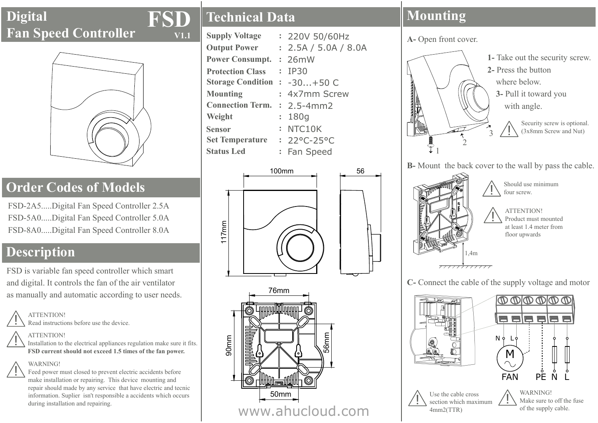## **D�g�tal Fan Speed Controller**



## **Order Codes of Models**

FSD-2A5.....Digital Fan Speed Controller 2.5A FSD-5A0.....Digital Fan Speed Controller 5.0A FSD-8A0.....D�g�tal Fan Speed Controller 8.0A

# **Description**

FSD is variable fan speed controller which smart and digital. It controls the fan of the air ventilator as manually and automatic according to user needs.

**ATTENTION!**<br>Read instructions before use the device.

ATTENTION!<br>Installation to the electrical appliances regulation make sure it fits. **FSD current should not exceed 1.5 t�mes of the fan power.**

WARNING!<br>Feed power must closed to prevent electric accidents before make installation or repairing. This device mounting and repair should made by any service that have electric and tecnic information. Suplier isn't responsible a accidents which occurs during installation and repairing.

## **Techn�cal Data**

**FSD**

**V1.1**

| <b>Supply Voltage</b>          |                | : 220V 50/60Hz       |
|--------------------------------|----------------|----------------------|
| <b>Output Power</b>            |                | : 2.5A / 5.0A / 8.0A |
| <b>Power Consumpt. : 26mW</b>  |                |                      |
| <b>Protection Class</b>        |                | : IP30               |
| Storage Condition : $-30+50$ C |                |                      |
| <b>Mounting</b>                |                | : 4x7mm Screw        |
| Connection Term. : 2.5-4mm2    |                |                      |
| Weight                         | $\ddot{\cdot}$ | 180q                 |
| <b>Sensor</b>                  |                | : NTC10K             |
| Set Temperature : 22°C-25°C    |                |                      |
| <b>Status Led</b>              |                | : Fan Speed          |





# **Mounting**

**A-** Open front cover.



Security screw is optional. (3x8mm Screw and Nut)

**B-** Mount the back cover to the wall by pass the cable.



**C-** Connect the cable of the supply voltage and motor